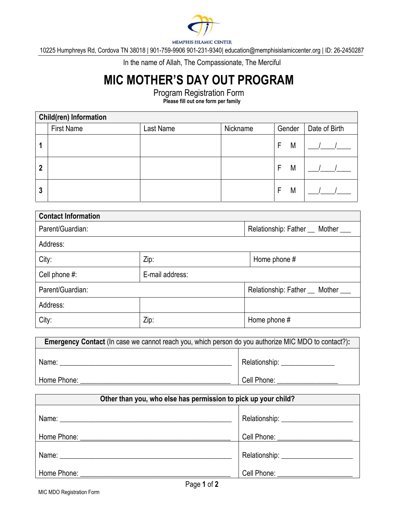

MEMPHIS ISLAMIC CENTER

10225 Humphreys Rd, Cordova TN 38018 | 901-759-9906 901-231-9340| education@memphisislamiccenter.org | ID: 26-2450287

In the name of Allah, The Compassionate, The Merciful

## MIC MOTHER'S DAY OUT PROGRAM

Program Registration Form

Please fill out one form per family

| <b>Child(ren) Information</b> |                   |           |          |        |               |
|-------------------------------|-------------------|-----------|----------|--------|---------------|
|                               | <b>First Name</b> | Last Name | Nickname | Gender | Date of Birth |
|                               |                   |           |          | M<br>F |               |
| $\mathbf{2}$                  |                   |           |          | M<br>F |               |
| 3                             |                   |           |          | M<br>F |               |

| <b>Contact Information</b>       |                                    |                                    |  |
|----------------------------------|------------------------------------|------------------------------------|--|
| Parent/Guardian:                 |                                    | Relationship: Father __ Mother ___ |  |
| Address:                         |                                    |                                    |  |
| City:                            | Zip:<br>Home phone #               |                                    |  |
| E-mail address:<br>Cell phone #: |                                    |                                    |  |
| Parent/Guardian:                 | Relationship: Father __ Mother ___ |                                    |  |
| Address:                         |                                    |                                    |  |
| City:                            | Zip:                               | Home phone #                       |  |

| <b>Emergency Contact</b> (In case we cannot reach you, which person do you authorize MIC MDO to contact?): |               |  |
|------------------------------------------------------------------------------------------------------------|---------------|--|
| Name:                                                                                                      | Relationship: |  |
| Home Phone:                                                                                                | Cell Phone:   |  |

| Other than you, who else has permission to pick up your child? |                                                                                                                                                                                                                                |  |
|----------------------------------------------------------------|--------------------------------------------------------------------------------------------------------------------------------------------------------------------------------------------------------------------------------|--|
|                                                                | Relationship: _____________________                                                                                                                                                                                            |  |
|                                                                | Cell Phone: ________________                                                                                                                                                                                                   |  |
|                                                                |                                                                                                                                                                                                                                |  |
| Home Phone: North States                                       | Cell Phone: The Collection of the Collection of the Collection of the Collection of the Collection of the Collection of the Collection of the Collection of the Collection of the Collection of the Collection of the Collecti |  |